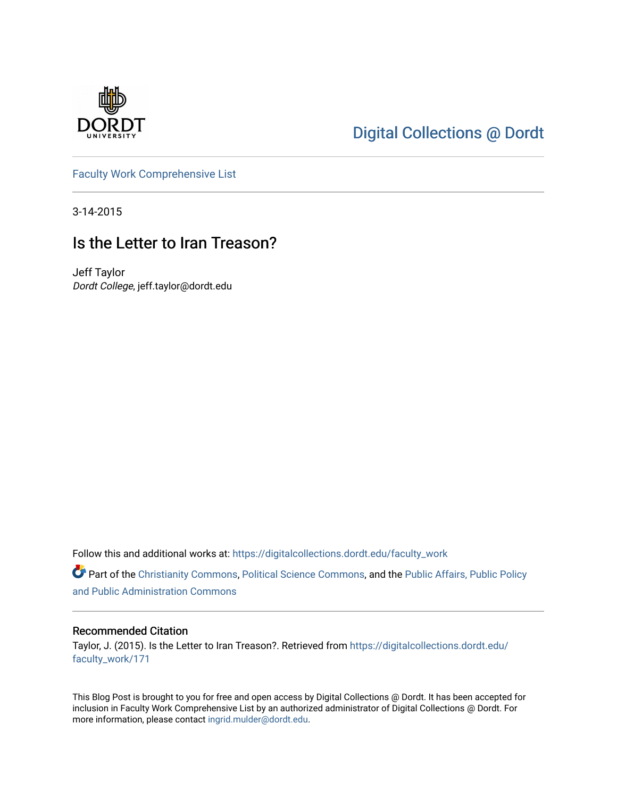

## [Digital Collections @ Dordt](https://digitalcollections.dordt.edu/)

[Faculty Work Comprehensive List](https://digitalcollections.dordt.edu/faculty_work)

3-14-2015

## Is the Letter to Iran Treason?

Jeff Taylor Dordt College, jeff.taylor@dordt.edu

Follow this and additional works at: [https://digitalcollections.dordt.edu/faculty\\_work](https://digitalcollections.dordt.edu/faculty_work?utm_source=digitalcollections.dordt.edu%2Ffaculty_work%2F171&utm_medium=PDF&utm_campaign=PDFCoverPages) 

Part of the [Christianity Commons,](http://network.bepress.com/hgg/discipline/1181?utm_source=digitalcollections.dordt.edu%2Ffaculty_work%2F171&utm_medium=PDF&utm_campaign=PDFCoverPages) [Political Science Commons,](http://network.bepress.com/hgg/discipline/386?utm_source=digitalcollections.dordt.edu%2Ffaculty_work%2F171&utm_medium=PDF&utm_campaign=PDFCoverPages) and the [Public Affairs, Public Policy](http://network.bepress.com/hgg/discipline/393?utm_source=digitalcollections.dordt.edu%2Ffaculty_work%2F171&utm_medium=PDF&utm_campaign=PDFCoverPages) [and Public Administration Commons](http://network.bepress.com/hgg/discipline/393?utm_source=digitalcollections.dordt.edu%2Ffaculty_work%2F171&utm_medium=PDF&utm_campaign=PDFCoverPages) 

#### Recommended Citation

Taylor, J. (2015). Is the Letter to Iran Treason?. Retrieved from [https://digitalcollections.dordt.edu/](https://digitalcollections.dordt.edu/faculty_work/171?utm_source=digitalcollections.dordt.edu%2Ffaculty_work%2F171&utm_medium=PDF&utm_campaign=PDFCoverPages) [faculty\\_work/171](https://digitalcollections.dordt.edu/faculty_work/171?utm_source=digitalcollections.dordt.edu%2Ffaculty_work%2F171&utm_medium=PDF&utm_campaign=PDFCoverPages)

This Blog Post is brought to you for free and open access by Digital Collections @ Dordt. It has been accepted for inclusion in Faculty Work Comprehensive List by an authorized administrator of Digital Collections @ Dordt. For more information, please contact [ingrid.mulder@dordt.edu.](mailto:ingrid.mulder@dordt.edu)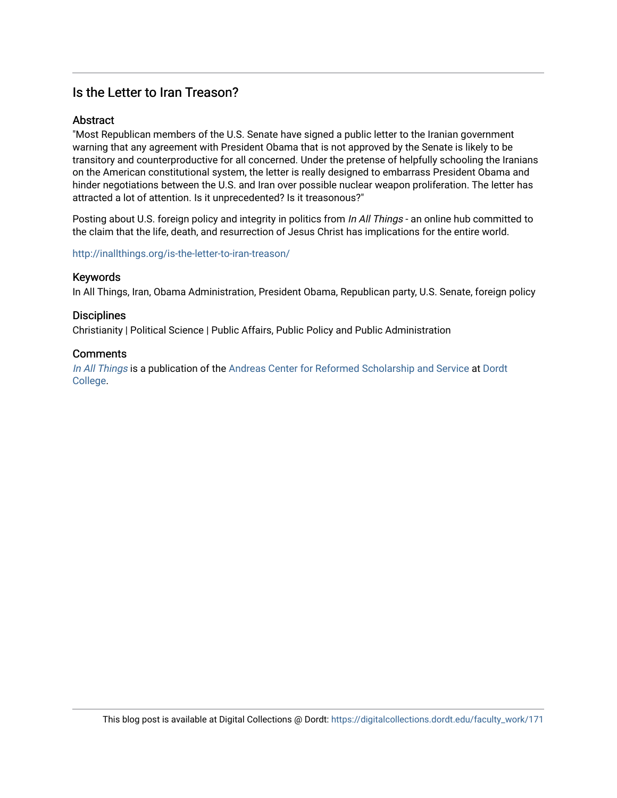### Is the Letter to Iran Treason?

#### Abstract

"Most Republican members of the U.S. Senate have signed a public letter to the Iranian government warning that any agreement with President Obama that is not approved by the Senate is likely to be transitory and counterproductive for all concerned. Under the pretense of helpfully schooling the Iranians on the American constitutional system, the letter is really designed to embarrass President Obama and hinder negotiations between the U.S. and Iran over possible nuclear weapon proliferation. The letter has attracted a lot of attention. Is it unprecedented? Is it treasonous?"

Posting about U.S. foreign policy and integrity in politics from In All Things - an online hub committed to the claim that the life, death, and resurrection of Jesus Christ has implications for the entire world.

<http://inallthings.org/is-the-letter-to-iran-treason/>

#### Keywords

In All Things, Iran, Obama Administration, President Obama, Republican party, U.S. Senate, foreign policy

#### **Disciplines**

Christianity | Political Science | Public Affairs, Public Policy and Public Administration

#### **Comments**

[In All Things](http://inallthings.org/) is a publication of the [Andreas Center for Reformed Scholarship and Service](http://www.dordt.edu/services_support/andreas_center/) at Dordt [College](http://www.dordt.edu/).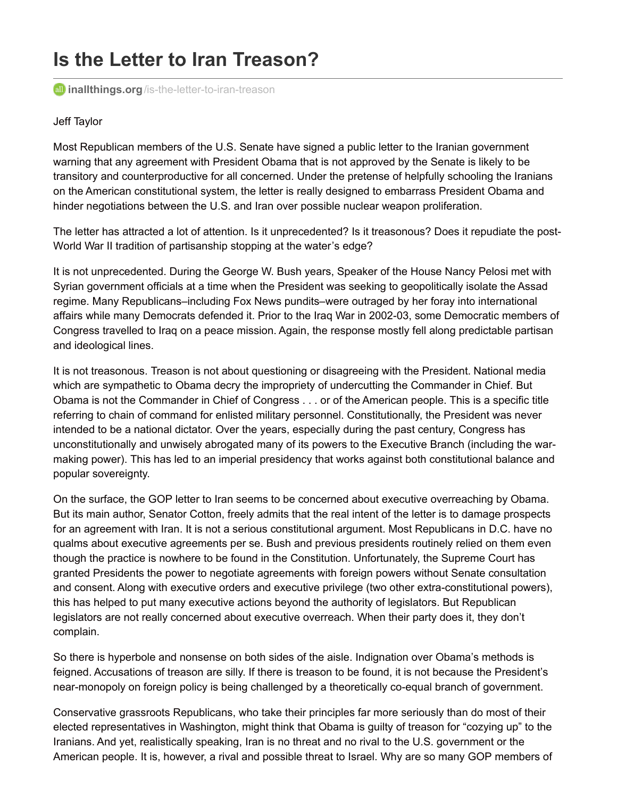# **Is the Letter to Iran Treason?**

**all inallthings.org**[/is-the-letter-to-iran-treason](http://inallthings.org/is-the-letter-to-iran-treason)

#### Jeff Taylor

Most Republican members of the U.S. Senate have signed a public letter to the Iranian government warning that any agreement with President Obama that is not approved by the Senate is likely to be transitory and counterproductive for all concerned. Under the pretense of helpfully schooling the Iranians on the American constitutional system, the letter is really designed to embarrass President Obama and hinder negotiations between the U.S. and Iran over possible nuclear weapon proliferation.

The letter has attracted a lot of attention. Is it unprecedented? Is it treasonous? Does it repudiate the post-World War II tradition of partisanship stopping at the water's edge?

It is not unprecedented. During the George W. Bush years, Speaker of the House Nancy Pelosi met with Syrian government officials at a time when the President was seeking to geopolitically isolate the Assad regime. Many Republicans–including Fox News pundits–were outraged by her foray into international affairs while many Democrats defended it. Prior to the Iraq War in 2002-03, some Democratic members of Congress travelled to Iraq on a peace mission. Again, the response mostly fell along predictable partisan and ideological lines.

It is not treasonous. Treason is not about questioning or disagreeing with the President. National media which are sympathetic to Obama decry the impropriety of undercutting the Commander in Chief. But Obama is not the Commander in Chief of Congress . . . or of the American people. This is a specific title referring to chain of command for enlisted military personnel. Constitutionally, the President was never intended to be a national dictator. Over the years, especially during the past century, Congress has unconstitutionally and unwisely abrogated many of its powers to the Executive Branch (including the warmaking power). This has led to an imperial presidency that works against both constitutional balance and popular sovereignty.

On the surface, the GOP letter to Iran seems to be concerned about executive overreaching by Obama. But its main author, Senator Cotton, freely admits that the real intent of the letter is to damage prospects for an agreement with Iran. It is not a serious constitutional argument. Most Republicans in D.C. have no qualms about executive agreements per se. Bush and previous presidents routinely relied on them even though the practice is nowhere to be found in the Constitution. Unfortunately, the Supreme Court has granted Presidents the power to negotiate agreements with foreign powers without Senate consultation and consent. Along with executive orders and executive privilege (two other extra-constitutional powers), this has helped to put many executive actions beyond the authority of legislators. But Republican legislators are not really concerned about executive overreach. When their party does it, they don't complain.

So there is hyperbole and nonsense on both sides of the aisle. Indignation over Obama's methods is feigned. Accusations of treason are silly. If there is treason to be found, it is not because the President's near-monopoly on foreign policy is being challenged by a theoretically co-equal branch of government.

Conservative grassroots Republicans, who take their principles far more seriously than do most of their elected representatives in Washington, might think that Obama is guilty of treason for "cozying up" to the Iranians. And yet, realistically speaking, Iran is no threat and no rival to the U.S. government or the American people. It is, however, a rival and possible threat to Israel. Why are so many GOP members of